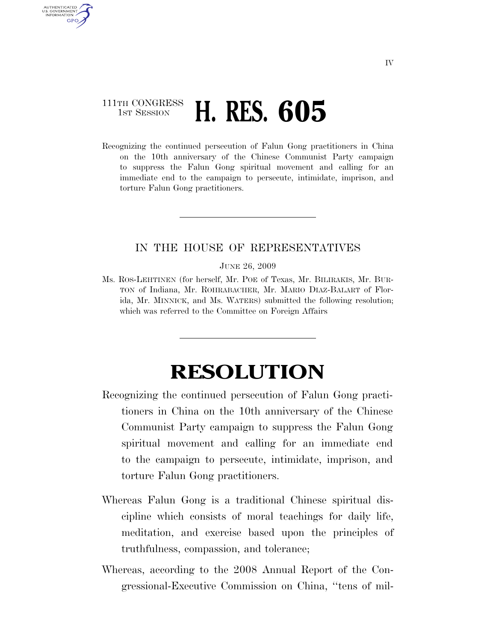## 111TH CONGRESS **1st Session H. RES. 605**

AUTHENTICATED U.S. GOVERNMENT **GPO** 

> Recognizing the continued persecution of Falun Gong practitioners in China on the 10th anniversary of the Chinese Communist Party campaign to suppress the Falun Gong spiritual movement and calling for an immediate end to the campaign to persecute, intimidate, imprison, and torture Falun Gong practitioners.

## IN THE HOUSE OF REPRESENTATIVES

JUNE 26, 2009

Ms. ROS-LEHTINEN (for herself, Mr. POE of Texas, Mr. BILIRAKIS, Mr. BUR-TON of Indiana, Mr. ROHRABACHER, Mr. MARIO DIAZ-BALART of Florida, Mr. MINNICK, and Ms. WATERS) submitted the following resolution; which was referred to the Committee on Foreign Affairs

## **RESOLUTION**

- Recognizing the continued persecution of Falun Gong practitioners in China on the 10th anniversary of the Chinese Communist Party campaign to suppress the Falun Gong spiritual movement and calling for an immediate end to the campaign to persecute, intimidate, imprison, and torture Falun Gong practitioners.
- Whereas Falun Gong is a traditional Chinese spiritual discipline which consists of moral teachings for daily life, meditation, and exercise based upon the principles of truthfulness, compassion, and tolerance;
- Whereas, according to the 2008 Annual Report of the Congressional-Executive Commission on China, ''tens of mil-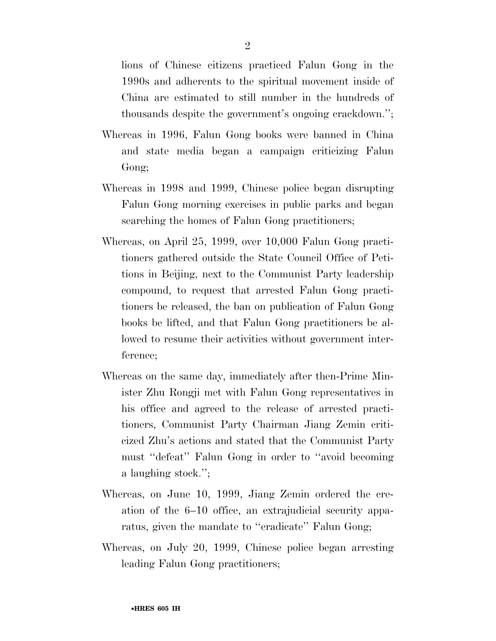lions of Chinese citizens practiced Falun Gong in the 1990s and adherents to the spiritual movement inside of China are estimated to still number in the hundreds of thousands despite the government's ongoing crackdown.'';

- Whereas in 1996, Falun Gong books were banned in China and state media began a campaign criticizing Falun Gong;
- Whereas in 1998 and 1999, Chinese police began disrupting Falun Gong morning exercises in public parks and began searching the homes of Falun Gong practitioners;
- Whereas, on April 25, 1999, over 10,000 Falun Gong practitioners gathered outside the State Council Office of Petitions in Beijing, next to the Communist Party leadership compound, to request that arrested Falun Gong practitioners be released, the ban on publication of Falun Gong books be lifted, and that Falun Gong practitioners be allowed to resume their activities without government interference;
- Whereas on the same day, immediately after then-Prime Minister Zhu Rongji met with Falun Gong representatives in his office and agreed to the release of arrested practitioners, Communist Party Chairman Jiang Zemin criticized Zhu's actions and stated that the Communist Party must ''defeat'' Falun Gong in order to ''avoid becoming a laughing stock.'';
- Whereas, on June 10, 1999, Jiang Zemin ordered the creation of the 6–10 office, an extrajudicial security apparatus, given the mandate to "eradicate" Falun Gong;
- Whereas, on July 20, 1999, Chinese police began arresting leading Falun Gong practitioners;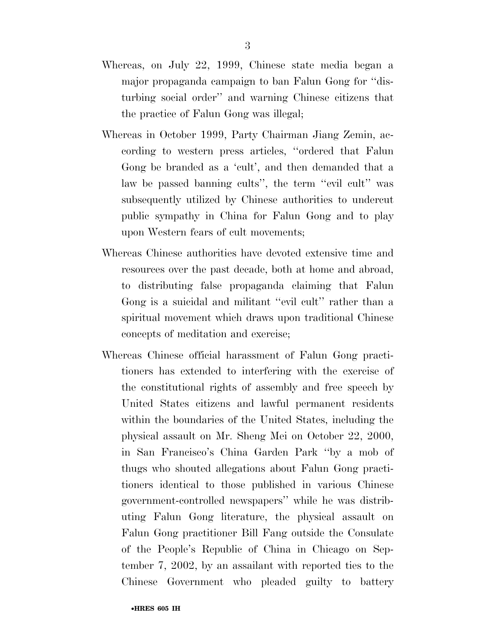- Whereas, on July 22, 1999, Chinese state media began a major propaganda campaign to ban Falun Gong for ''disturbing social order'' and warning Chinese citizens that the practice of Falun Gong was illegal;
- Whereas in October 1999, Party Chairman Jiang Zemin, according to western press articles, ''ordered that Falun Gong be branded as a 'cult', and then demanded that a law be passed banning cults'', the term ''evil cult'' was subsequently utilized by Chinese authorities to undercut public sympathy in China for Falun Gong and to play upon Western fears of cult movements;
- Whereas Chinese authorities have devoted extensive time and resources over the past decade, both at home and abroad, to distributing false propaganda claiming that Falun Gong is a suicidal and militant ''evil cult'' rather than a spiritual movement which draws upon traditional Chinese concepts of meditation and exercise;
- Whereas Chinese official harassment of Falun Gong practitioners has extended to interfering with the exercise of the constitutional rights of assembly and free speech by United States citizens and lawful permanent residents within the boundaries of the United States, including the physical assault on Mr. Sheng Mei on October 22, 2000, in San Francisco's China Garden Park ''by a mob of thugs who shouted allegations about Falun Gong practitioners identical to those published in various Chinese government-controlled newspapers'' while he was distributing Falun Gong literature, the physical assault on Falun Gong practitioner Bill Fang outside the Consulate of the People's Republic of China in Chicago on September 7, 2002, by an assailant with reported ties to the Chinese Government who pleaded guilty to battery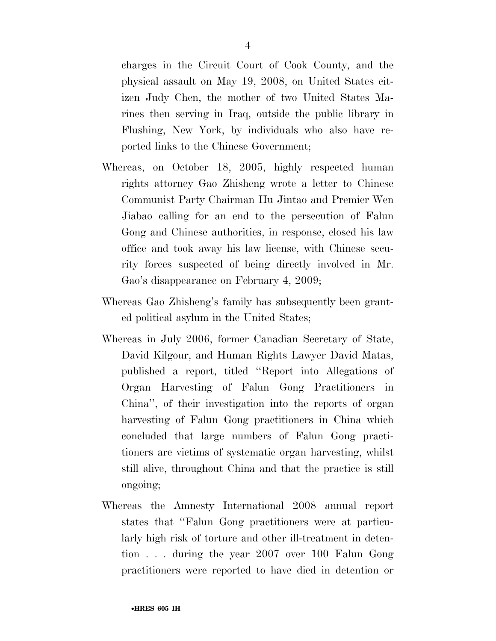charges in the Circuit Court of Cook County, and the physical assault on May 19, 2008, on United States citizen Judy Chen, the mother of two United States Marines then serving in Iraq, outside the public library in Flushing, New York, by individuals who also have reported links to the Chinese Government;

- Whereas, on October 18, 2005, highly respected human rights attorney Gao Zhisheng wrote a letter to Chinese Communist Party Chairman Hu Jintao and Premier Wen Jiabao calling for an end to the persecution of Falun Gong and Chinese authorities, in response, closed his law office and took away his law license, with Chinese security forces suspected of being directly involved in Mr. Gao's disappearance on February 4, 2009;
- Whereas Gao Zhisheng's family has subsequently been granted political asylum in the United States;
- Whereas in July 2006, former Canadian Secretary of State, David Kilgour, and Human Rights Lawyer David Matas, published a report, titled ''Report into Allegations of Organ Harvesting of Falun Gong Practitioners in China'', of their investigation into the reports of organ harvesting of Falun Gong practitioners in China which concluded that large numbers of Falun Gong practitioners are victims of systematic organ harvesting, whilst still alive, throughout China and that the practice is still ongoing;
- Whereas the Amnesty International 2008 annual report states that ''Falun Gong practitioners were at particularly high risk of torture and other ill-treatment in detention . . . during the year 2007 over 100 Falun Gong practitioners were reported to have died in detention or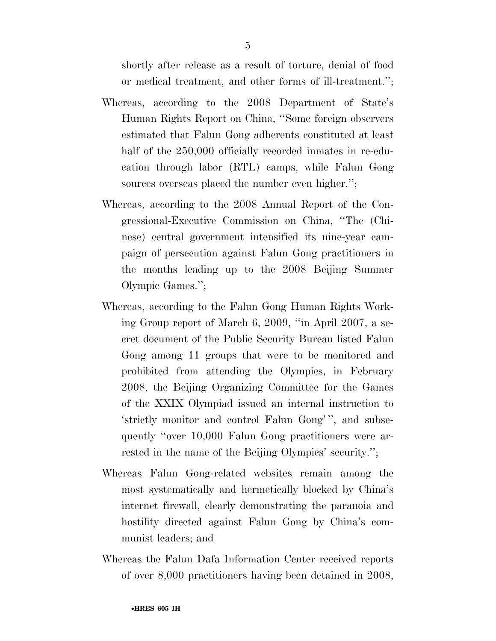shortly after release as a result of torture, denial of food or medical treatment, and other forms of ill-treatment.'';

- Whereas, according to the 2008 Department of State's Human Rights Report on China, ''Some foreign observers estimated that Falun Gong adherents constituted at least half of the  $250,000$  officially recorded inmates in re-education through labor (RTL) camps, while Falun Gong sources overseas placed the number even higher.";
- Whereas, according to the 2008 Annual Report of the Congressional-Executive Commission on China, ''The (Chinese) central government intensified its nine-year campaign of persecution against Falun Gong practitioners in the months leading up to the 2008 Beijing Summer Olympic Games.'';
- Whereas, according to the Falun Gong Human Rights Working Group report of March 6, 2009, ''in April 2007, a secret document of the Public Security Bureau listed Falun Gong among 11 groups that were to be monitored and prohibited from attending the Olympics, in February 2008, the Beijing Organizing Committee for the Games of the XXIX Olympiad issued an internal instruction to 'strictly monitor and control Falun Gong' '', and subsequently ''over 10,000 Falun Gong practitioners were arrested in the name of the Beijing Olympics' security.'';
- Whereas Falun Gong-related websites remain among the most systematically and hermetically blocked by China's internet firewall, clearly demonstrating the paranoia and hostility directed against Falun Gong by China's communist leaders; and
- Whereas the Falun Dafa Information Center received reports of over 8,000 practitioners having been detained in 2008,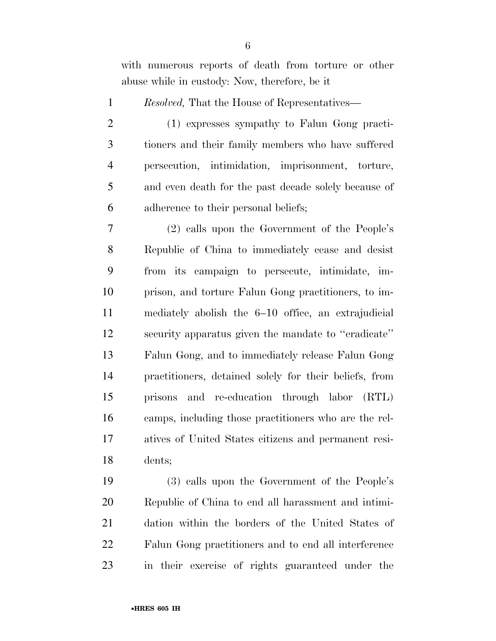with numerous reports of death from torture or other abuse while in custody: Now, therefore, be it

- *Resolved,* That the House of Representatives—
- (1) expresses sympathy to Falun Gong practi- tioners and their family members who have suffered persecution, intimidation, imprisonment, torture, and even death for the past decade solely because of adherence to their personal beliefs;

 (2) calls upon the Government of the People's Republic of China to immediately cease and desist from its campaign to persecute, intimidate, im- prison, and torture Falun Gong practitioners, to im- mediately abolish the 6–10 office, an extrajudicial security apparatus given the mandate to ''eradicate'' Falun Gong, and to immediately release Falun Gong practitioners, detained solely for their beliefs, from prisons and re-education through labor (RTL) camps, including those practitioners who are the rel- atives of United States citizens and permanent resi-dents;

 (3) calls upon the Government of the People's Republic of China to end all harassment and intimi- dation within the borders of the United States of Falun Gong practitioners and to end all interference in their exercise of rights guaranteed under the